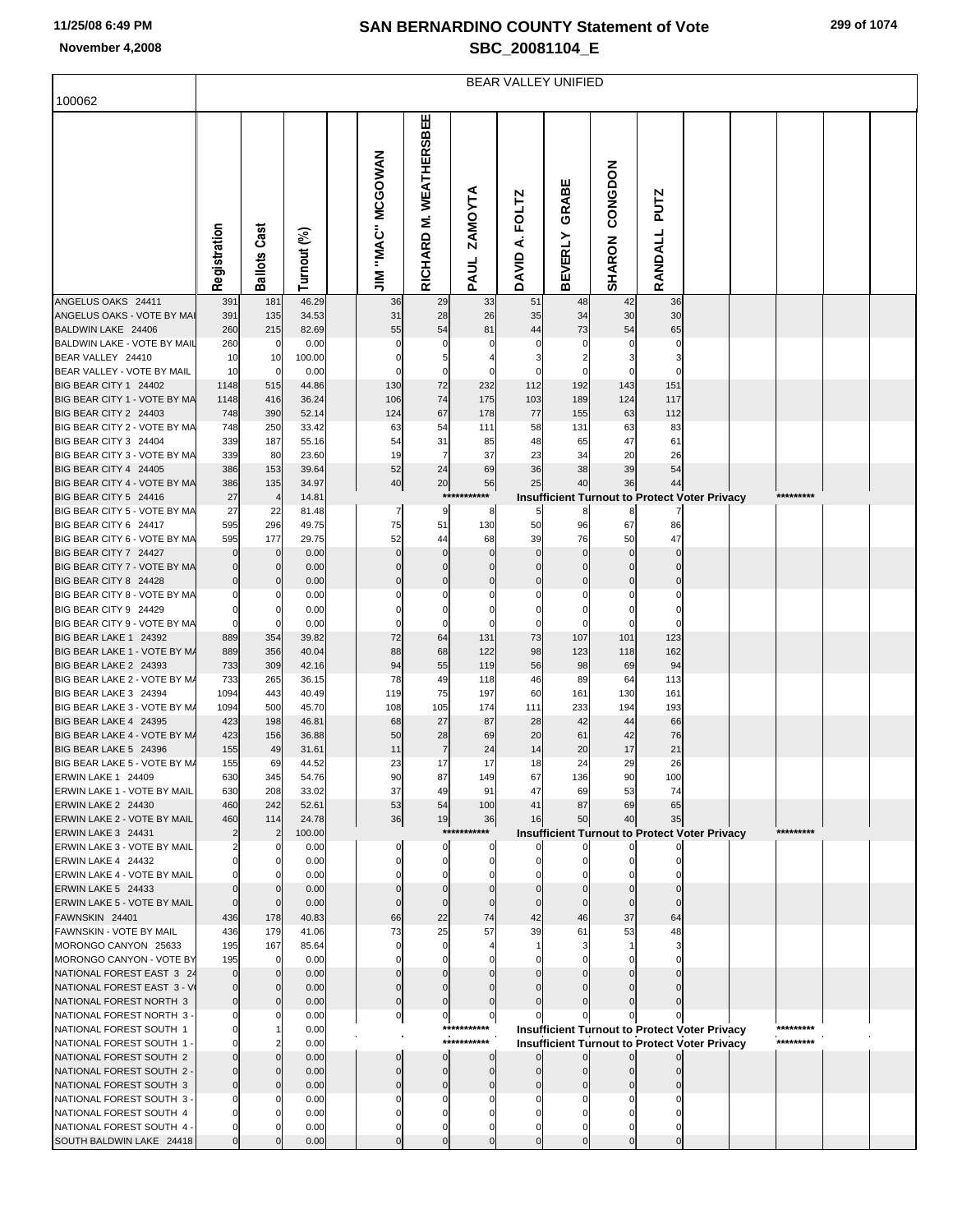## **SAN BERNARDINO COUNTY Statement of Vote November 4,2008 SBC\_20081104\_E**

|                                                                        | <b>BEAR VALLEY UNIFIED</b> |                          |                         |  |                            |                            |                        |                      |                                                           |                   |                  |  |  |           |  |  |
|------------------------------------------------------------------------|----------------------------|--------------------------|-------------------------|--|----------------------------|----------------------------|------------------------|----------------------|-----------------------------------------------------------|-------------------|------------------|--|--|-----------|--|--|
| 100062                                                                 |                            |                          |                         |  |                            |                            |                        |                      |                                                           |                   |                  |  |  |           |  |  |
|                                                                        | Registration               | <b>Ballots Cast</b>      | Turnout (%)             |  | <b>JIM "MAC" MCGOWAN</b>   | RICHARD M. WEATHERSBEE     | <b>ZAMOYTA</b><br>PAUL | A. FOLTZ<br>DAVID,   | GRABE<br><b>BEVERLY</b>                                   | CONGDON<br>SHARON | PUTZ<br>RANDALL  |  |  |           |  |  |
|                                                                        |                            |                          |                         |  |                            |                            |                        |                      |                                                           |                   |                  |  |  |           |  |  |
| ANGELUS OAKS 24411<br>ANGELUS OAKS - VOTE BY MAI<br>BALDWIN LAKE 24406 | 391<br>391<br>260          | 181<br>135<br>215        | 46.29<br>34.53<br>82.69 |  | 36<br>31<br>55             | 29<br>28<br>54             | 33<br>26<br>81         | 51<br>35<br>44       | 48<br>34<br>73                                            | 42<br>30<br>54    | 36<br>30<br>65   |  |  |           |  |  |
| BALDWIN LAKE - VOTE BY MAIL<br>BEAR VALLEY 24410                       | 260<br>10                  | 0<br>10                  | 0.00<br>100.00          |  | 0<br>$\mathbf 0$           | C<br>5                     | 0                      | 0                    | 0<br>2                                                    | 0                 | 0<br>3           |  |  |           |  |  |
| BEAR VALLEY - VOTE BY MAIL                                             | 10                         | 0                        | 0.00                    |  | $\mathbf 0$                | $\mathbf 0$                | 0                      | 0                    | 0                                                         | 0                 | 0                |  |  |           |  |  |
| BIG BEAR CITY 1 24402                                                  | 1148                       | 515                      | 44.86                   |  | 130                        | 72                         | 232                    | 112                  | 192                                                       | 143               | 151              |  |  |           |  |  |
| BIG BEAR CITY 1 - VOTE BY MA<br>BIG BEAR CITY 2 24403                  | 1148<br>748                | 416<br>390               | 36.24<br>52.14          |  | 106<br>124                 | 74<br>67                   | 175<br>178             | 103<br>$77$          | 189<br>155                                                | 124<br>63         | 117<br>112       |  |  |           |  |  |
| BIG BEAR CITY 2 - VOTE BY MA                                           | 748                        | 250                      | 33.42                   |  | 63                         | 54                         | 111                    | 58                   | 131                                                       | 63                | 83               |  |  |           |  |  |
| BIG BEAR CITY 3 24404<br>BIG BEAR CITY 3 - VOTE BY MA                  | 339<br>339                 | 187<br>80                | 55.16<br>23.60          |  | 54<br>19                   | 31<br>$\overline{7}$       | 85                     | 48                   | 65                                                        | 47<br>20          | 61<br>26         |  |  |           |  |  |
| BIG BEAR CITY 4 24405                                                  | 386                        | 153                      | 39.64                   |  | 52                         | 24                         | 37<br>69               | 23<br>36             | 34<br>38                                                  | 39                | 54               |  |  |           |  |  |
| BIG BEAR CITY 4 - VOTE BY MA                                           | 386                        | 135                      | 34.97                   |  | 40                         | 20                         | 56                     | 25                   | 40                                                        | 36                | 44               |  |  |           |  |  |
| BIG BEAR CITY 5 24416<br>BIG BEAR CITY 5 - VOTE BY MA                  | 27<br>27                   | $\overline{4}$<br>22     | 14.81<br>81.48          |  | 7                          | $***$<br>9                 | ******<br>8            | 5                    | <b>Insufficient Turnout to Protect Voter Privacy</b><br>8 | 8                 | 7                |  |  | ********  |  |  |
| BIG BEAR CITY 6 24417                                                  | 595                        | 296                      | 49.75                   |  | 75                         | 51                         | 130                    | 50                   | 96                                                        | 67                | 86               |  |  |           |  |  |
| BIG BEAR CITY 6 - VOTE BY MA                                           | 595                        | 177                      | 29.75                   |  | 52                         | 44                         | 68                     | 39                   | 76                                                        | 50                | 47               |  |  |           |  |  |
| BIG BEAR CITY 7 24427<br>BIG BEAR CITY 7 - VOTE BY MA                  |                            | $\pmb{0}$<br>$\mathbf 0$ | 0.00<br>0.00            |  | $\mathbf 0$<br>$\mathbf 0$ | $\mathbf 0$<br>$\mathbf 0$ | $\mathbf 0$<br>C       | $\Omega$<br>$\Omega$ | $\mathbf 0$                                               | $\mathbf 0$<br>0  | $\mathbf 0$<br>0 |  |  |           |  |  |
| BIG BEAR CITY 8 24428                                                  |                            | 0                        | 0.00                    |  | $\mathbf 0$                | $\mathsf{C}$               | 0                      |                      |                                                           | 0                 | $\pmb{0}$        |  |  |           |  |  |
| BIG BEAR CITY 8 - VOTE BY MA                                           |                            |                          | 0.00                    |  | 0                          | 0                          | 0                      | 0                    |                                                           | 0                 | 0                |  |  |           |  |  |
| BIG BEAR CITY 9 24429<br>BIG BEAR CITY 9 - VOTE BY MA                  |                            | 0<br>$\Omega$            | 0.00<br>0.00            |  | $\mathbf 0$<br>$\mathbf 0$ | $\mathbf 0$<br>$\mathbf 0$ | 0<br>$\Omega$          | $\Omega$<br>0        | 0                                                         | 0<br>0            | 0<br>0           |  |  |           |  |  |
| BIG BEAR LAKE 1 24392                                                  | 889                        | 354                      | 39.82                   |  | 72                         | 64                         | 131                    | 73                   | 107                                                       | 101               | 123              |  |  |           |  |  |
| BIG BEAR LAKE 1 - VOTE BY M/<br>BIG BEAR LAKE 2 24393                  | 889<br>733                 | 356<br>309               | 40.04<br>42.16          |  | 88<br>94                   | 68<br>55                   | 122<br>119             | 98<br>56             | 123<br>98                                                 | 118<br>69         | 162<br>94        |  |  |           |  |  |
| BIG BEAR LAKE 2 - VOTE BY M/                                           | 733                        | 265                      | 36.15                   |  | 78                         | 49                         | 118                    | 46                   | 89                                                        | 64                | 113              |  |  |           |  |  |
| BIG BEAR LAKE 3 24394                                                  | 1094                       | 443                      | 40.49                   |  | 119                        | 75                         | 197                    | 60                   | 161                                                       | 130               | 161              |  |  |           |  |  |
| BIG BEAR LAKE 3 - VOTE BY M/<br>BIG BEAR LAKE 4 24395                  | 1094<br>423                | 500<br>198               | 45.70<br>46.81          |  | 108<br>68                  | 105<br>27                  | 174<br>87              | 111<br>28            | 233<br>42                                                 | 194<br>44         | 193<br>66        |  |  |           |  |  |
| BIG BEAR LAKE 4 - VOTE BY M/                                           | 423                        | 156                      | 36.88                   |  | 50                         | 28                         | 69                     | 20                   | 61                                                        | 42                | 76               |  |  |           |  |  |
| BIG BEAR LAKE 5 24396                                                  | 155                        | 49                       | 31.61                   |  | 11                         | $\overline{7}$             | 24                     | 14                   | 20                                                        | 17                | 21               |  |  |           |  |  |
| BIG BEAR LAKE 5 - VOTE BY M/<br>ERWIN LAKE 1 24409                     | 155<br>630                 | 69<br>345                | 44.52<br>54.76          |  | 23<br>90                   | 17<br>87                   | 17<br>149              | 18<br>67             | 24<br>136                                                 | 29<br>90          | 26<br>100        |  |  |           |  |  |
| ERWIN LAKE 1 - VOTE BY MAIL                                            | 630                        | 208                      | 33.02                   |  | 37                         | 49                         | 91                     | 47                   | 69                                                        | 53                | 74               |  |  |           |  |  |
| ERWIN LAKE 2 24430<br>ERWIN LAKE 2 - VOTE BY MAIL                      | 460<br>460                 | 242<br>114               | 52.61<br>24.78          |  | 53<br>36                   | 54<br>19                   | 100<br>36              | 41<br>16             | 87<br>50                                                  | 69<br>40          | 65<br>35         |  |  |           |  |  |
| ERWIN LAKE 3 24431                                                     |                            | $\overline{2}$           | 100.00                  |  |                            | ***                        | *******                |                      | <b>Insufficient Turnout to Protect Voter Privacy</b>      |                   |                  |  |  | ********* |  |  |
| ERWIN LAKE 3 - VOTE BY MAIL                                            |                            | 0                        | 0.00                    |  | 0                          | 0                          | 0                      |                      |                                                           |                   |                  |  |  |           |  |  |
| ERWIN LAKE 4 24432<br>ERWIN LAKE 4 - VOTE BY MAIL                      |                            |                          | 0.00<br>0.00            |  |                            | $\Omega$                   | $\Omega$               |                      |                                                           |                   |                  |  |  |           |  |  |
| ERWIN LAKE 5 24433                                                     |                            | $\Omega$                 | 0.00                    |  | $\Omega$                   | $\Omega$                   |                        |                      |                                                           |                   |                  |  |  |           |  |  |
| ERWIN LAKE 5 - VOTE BY MAIL                                            |                            | $\mathbf 0$              | 0.00                    |  | $\Omega$                   | $\mathbf 0$<br>22          | $\Omega$               |                      |                                                           |                   | O                |  |  |           |  |  |
| FAWNSKIN 24401<br>FAWNSKIN - VOTE BY MAIL                              | 436<br>436                 | 178<br>179               | 40.83<br>41.06          |  | 66<br>73                   | 25                         | 74<br>57               | 42<br>39             | 46<br>61                                                  | 37<br>53          | 64<br>48         |  |  |           |  |  |
| MORONGO CANYON 25633                                                   | 195                        | 167                      | 85.64                   |  |                            | $\mathbf 0$                |                        |                      |                                                           |                   |                  |  |  |           |  |  |
| MORONGO CANYON - VOTE BY<br>NATIONAL FOREST EAST 3 24                  | 195<br>$\mathbf 0$         | 0<br>$\mathbf 0$         | 0.00<br>0.00            |  |                            | $\Omega$<br>$\sqrt{ }$     |                        |                      |                                                           |                   |                  |  |  |           |  |  |
| NATIONAL FOREST EAST 3 - V                                             | $\Omega$                   | 0                        | 0.00                    |  | 0                          | $\Omega$                   |                        |                      |                                                           |                   |                  |  |  |           |  |  |
| NATIONAL FOREST NORTH 3                                                |                            |                          | 0.00                    |  | $\mathbf 0$                | $\Omega$                   |                        |                      |                                                           |                   |                  |  |  |           |  |  |
| NATIONAL FOREST NORTH 3 -<br>NATIONAL FOREST SOUTH 1                   |                            | 0                        | 0.00<br>0.00            |  | 0                          | $\pmb{0}$                  | 0<br>***********       |                      | Insufficient Turnout to Protect Voter Privacy             |                   |                  |  |  | ********* |  |  |
| NATIONAL FOREST SOUTH 1 -                                              |                            |                          | 0.00                    |  |                            |                            | ***********            |                      | <b>Insufficient Turnout to Protect Voter Privacy</b>      |                   |                  |  |  | ********* |  |  |
| NATIONAL FOREST SOUTH 2                                                |                            | $\Omega$                 | 0.00                    |  |                            |                            | $\Omega$               |                      |                                                           |                   |                  |  |  |           |  |  |
| NATIONAL FOREST SOUTH 2 -<br>NATIONAL FOREST SOUTH 3                   |                            | $\mathbf 0$<br>$\Omega$  | 0.00<br>0.00            |  | 0<br>$\Omega$              | $\Omega$<br>$\Omega$       | $\Omega$<br>C          |                      |                                                           |                   |                  |  |  |           |  |  |
| NATIONAL FOREST SOUTH 3 -                                              |                            |                          | 0.00                    |  |                            | C                          |                        |                      |                                                           |                   |                  |  |  |           |  |  |
| NATIONAL FOREST SOUTH 4<br>NATIONAL FOREST SOUTH 4 -                   |                            |                          | 0.00<br>0.00            |  | 0                          | 0                          | 0                      | O                    |                                                           |                   |                  |  |  |           |  |  |
| SOUTH BALDWIN LAKE 24418                                               |                            |                          | 0.00                    |  |                            | $\mathsf{C}$               | C                      |                      |                                                           |                   |                  |  |  |           |  |  |